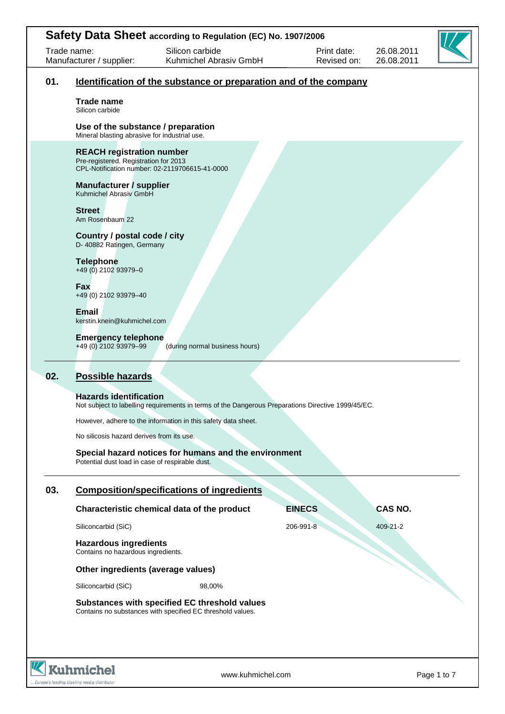|     |                                                                                     | Safety Data Sheet according to Regulation (EC) No. 1907/2006                                                |                            |                          |             |
|-----|-------------------------------------------------------------------------------------|-------------------------------------------------------------------------------------------------------------|----------------------------|--------------------------|-------------|
|     | Trade name:<br>Manufacturer / supplier:                                             | Silicon carbide<br>Kuhmichel Abrasiv GmbH                                                                   | Print date:<br>Revised on: | 26.08.2011<br>26.08.2011 |             |
| 01. |                                                                                     | <u>Identification of the substance or preparation and of the company</u>                                    |                            |                          |             |
|     | <b>Trade name</b><br>Silicon carbide                                                |                                                                                                             |                            |                          |             |
|     | Use of the substance / preparation<br>Mineral blasting abrasive for industrial use. |                                                                                                             |                            |                          |             |
|     | <b>REACH registration number</b><br>Pre-registered. Registration for 2013           | CPL-Notification number: 02-2119706615-41-0000                                                              |                            |                          |             |
|     | Manufacturer / supplier<br>Kuhmichel Abrasiv GmbH                                   |                                                                                                             |                            |                          |             |
|     | <b>Street</b><br>Am Rosenbaum 22                                                    |                                                                                                             |                            |                          |             |
|     | Country / postal code / city<br>D- 40882 Ratingen, Germany                          |                                                                                                             |                            |                          |             |
|     | <b>Telephone</b><br>+49 (0) 2102 93979-0                                            |                                                                                                             |                            |                          |             |
|     | Fax<br>+49 (0) 2102 93979-40                                                        |                                                                                                             |                            |                          |             |
|     | <b>Email</b><br>kerstin.knein@kuhmichel.com                                         |                                                                                                             |                            |                          |             |
|     | <b>Emergency telephone</b><br>+49 (0) 2102 93979-99                                 | (during normal business hours)                                                                              |                            |                          |             |
| 02. | Possible hazards                                                                    |                                                                                                             |                            |                          |             |
|     | <b>Hazards identification</b>                                                       | Not subject to labelling requirements in terms of the Dangerous Preparations Directive 1999/45/EC.          |                            |                          |             |
|     |                                                                                     | However, adhere to the information in this safety data sheet.                                               |                            |                          |             |
|     | No silicosis hazard derives from its use.                                           |                                                                                                             |                            |                          |             |
|     | Potential dust load in case of respirable dust.                                     | Special hazard notices for humans and the environment                                                       |                            |                          |             |
| 03. |                                                                                     | <b>Composition/specifications of ingredients</b>                                                            |                            |                          |             |
|     |                                                                                     | Characteristic chemical data of the product                                                                 | <b>EINECS</b>              | <b>CAS NO.</b>           |             |
|     | Siliconcarbid (SiC)                                                                 |                                                                                                             | 206-991-8                  | 409-21-2                 |             |
|     | <b>Hazardous ingredients</b><br>Contains no hazardous ingredients.                  |                                                                                                             |                            |                          |             |
|     | Other ingredients (average values)                                                  |                                                                                                             |                            |                          |             |
|     | Siliconcarbid (SiC)                                                                 | 98,00%                                                                                                      |                            |                          |             |
|     |                                                                                     | Substances with specified EC threshold values<br>Contains no substances with specified EC threshold values. |                            |                          |             |
|     |                                                                                     |                                                                                                             |                            |                          |             |
|     | <b>Kuhmichel</b>                                                                    | www.kuhmichel.com                                                                                           |                            |                          | Page 1 to 7 |

.. Europe's leading blasting media distributor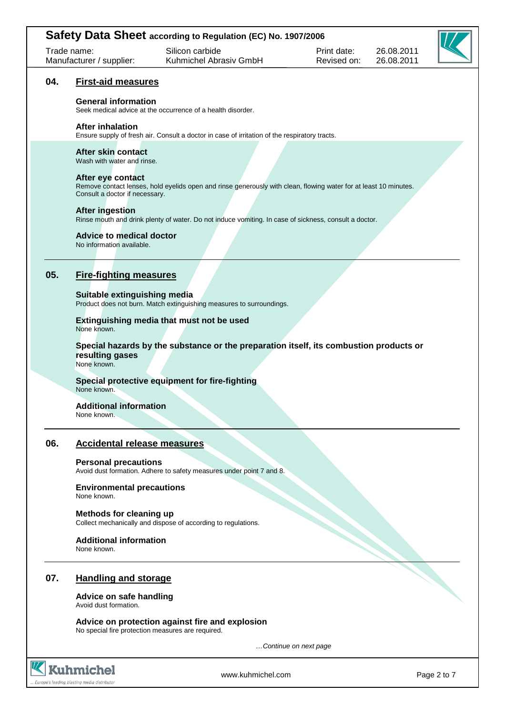| Trade name:<br>Manufacturer / supplier: |                                                                                                                                 | Safety Data Sheet according to Regulation (EC) No. 1907/2006<br>Silicon carbide<br>Kuhmichel Abrasiv GmbH        | Print date:<br>Revised on: | 26.08.2011<br>26.08.2011 |  |  |  |  |
|-----------------------------------------|---------------------------------------------------------------------------------------------------------------------------------|------------------------------------------------------------------------------------------------------------------|----------------------------|--------------------------|--|--|--|--|
| 04.                                     | <b>First-aid measures</b>                                                                                                       |                                                                                                                  |                            |                          |  |  |  |  |
|                                         | <b>General information</b>                                                                                                      | Seek medical advice at the occurrence of a health disorder.                                                      |                            |                          |  |  |  |  |
|                                         | <b>After inhalation</b>                                                                                                         | Ensure supply of fresh air. Consult a doctor in case of irritation of the respiratory tracts.                    |                            |                          |  |  |  |  |
|                                         | After skin contact<br>Wash with water and rinse.                                                                                |                                                                                                                  |                            |                          |  |  |  |  |
|                                         | After eye contact<br>Consult a doctor if necessary.                                                                             | Remove contact lenses, hold eyelids open and rinse generously with clean, flowing water for at least 10 minutes. |                            |                          |  |  |  |  |
|                                         | <b>After ingestion</b><br>Rinse mouth and drink plenty of water. Do not induce vomiting. In case of sickness, consult a doctor. |                                                                                                                  |                            |                          |  |  |  |  |
|                                         | <b>Advice to medical doctor</b><br>No information available.                                                                    |                                                                                                                  |                            |                          |  |  |  |  |
| 05.                                     | <b>Fire-fighting measures</b>                                                                                                   |                                                                                                                  |                            |                          |  |  |  |  |
|                                         | Suitable extinguishing media<br>Product does not burn. Match extinguishing measures to surroundings.                            |                                                                                                                  |                            |                          |  |  |  |  |
|                                         | None known.                                                                                                                     | Extinguishing media that must not be used                                                                        |                            |                          |  |  |  |  |
|                                         | resulting gases<br>None known.                                                                                                  | Special hazards by the substance or the preparation itself, its combustion products or                           |                            |                          |  |  |  |  |
|                                         | None known.                                                                                                                     | Special protective equipment for fire-fighting                                                                   |                            |                          |  |  |  |  |
|                                         | <b>Additional information</b><br>None known.                                                                                    |                                                                                                                  |                            |                          |  |  |  |  |
| 06.                                     | <b>Accidental release measures</b>                                                                                              |                                                                                                                  |                            |                          |  |  |  |  |
|                                         | <b>Personal precautions</b><br>Avoid dust formation. Adhere to safety measures under point 7 and 8.                             |                                                                                                                  |                            |                          |  |  |  |  |
|                                         | <b>Environmental precautions</b><br>None known.                                                                                 |                                                                                                                  |                            |                          |  |  |  |  |
|                                         | <b>Methods for cleaning up</b>                                                                                                  | Collect mechanically and dispose of according to regulations.                                                    |                            |                          |  |  |  |  |

## **Additional information**

None known.

# **07. Handling and storage**

### **Advice on safe handling**  Avoid dust formation.

**Advice on protection against fire and explosion**  No special fire protection measures are required.





www.kuhmichel.com Page 2 to 7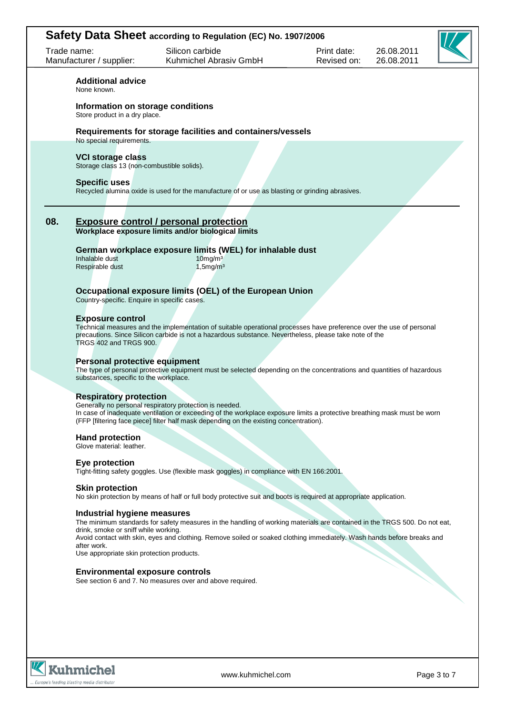|             |                                                                                                                                                                                                                                                                                                                | Safety Data Sheet according to Regulation (EC) No. 1907/2006                                                                                                                                                                                        |                            |                          |  |  |  |
|-------------|----------------------------------------------------------------------------------------------------------------------------------------------------------------------------------------------------------------------------------------------------------------------------------------------------------------|-----------------------------------------------------------------------------------------------------------------------------------------------------------------------------------------------------------------------------------------------------|----------------------------|--------------------------|--|--|--|
| Trade name: | Manufacturer / supplier:                                                                                                                                                                                                                                                                                       | Silicon carbide<br>Kuhmichel Abrasiv GmbH                                                                                                                                                                                                           | Print date:<br>Revised on: | 26.08.2011<br>26.08.2011 |  |  |  |
|             | <b>Additional advice</b><br>None known.                                                                                                                                                                                                                                                                        |                                                                                                                                                                                                                                                     |                            |                          |  |  |  |
|             | Information on storage conditions<br>Store product in a dry place.                                                                                                                                                                                                                                             |                                                                                                                                                                                                                                                     |                            |                          |  |  |  |
|             | No special requirements.                                                                                                                                                                                                                                                                                       | Requirements for storage facilities and containers/vessels                                                                                                                                                                                          |                            |                          |  |  |  |
|             | <b>VCI storage class</b><br>Storage class 13 (non-combustible solids).                                                                                                                                                                                                                                         |                                                                                                                                                                                                                                                     |                            |                          |  |  |  |
|             | <b>Specific uses</b>                                                                                                                                                                                                                                                                                           | Recycled alumina oxide is used for the manufacture of or use as blasting or grinding abrasives.                                                                                                                                                     |                            |                          |  |  |  |
| 08.         |                                                                                                                                                                                                                                                                                                                | <b>Exposure control / personal protection</b><br>Workplace exposure limits and/or biological limits                                                                                                                                                 |                            |                          |  |  |  |
|             | Inhalable dust<br>Respirable dust                                                                                                                                                                                                                                                                              | German workplace exposure limits (WEL) for inhalable dust<br>$10$ mg/m $3$<br>$1,5$ mg/m $3$                                                                                                                                                        |                            |                          |  |  |  |
|             | Country-specific. Enquire in specific cases.                                                                                                                                                                                                                                                                   | Occupational exposure limits (OEL) of the European Union                                                                                                                                                                                            |                            |                          |  |  |  |
|             | <b>Exposure control</b><br>TRGS 402 and TRGS 900.                                                                                                                                                                                                                                                              | Technical measures and the implementation of suitable operational processes have preference over the use of personal<br>precautions. Since Silicon carbide is not a hazardous substance. Nevertheless, please take note of the                      |                            |                          |  |  |  |
|             | Personal protective equipment<br>The type of personal protective equipment must be selected depending on the concentrations and quantities of hazardous<br>substances, specific to the workplace.                                                                                                              |                                                                                                                                                                                                                                                     |                            |                          |  |  |  |
|             | <b>Respiratory protection</b><br>Generally no personal respiratory protection is needed.<br>In case of inadequate ventilation or exceeding of the workplace exposure limits a protective breathing mask must be worn<br>(FFP [filtering face piece] filter half mask depending on the existing concentration). |                                                                                                                                                                                                                                                     |                            |                          |  |  |  |
|             | <b>Hand protection</b><br>Glove material: leather.                                                                                                                                                                                                                                                             |                                                                                                                                                                                                                                                     |                            |                          |  |  |  |
|             | Eye protection                                                                                                                                                                                                                                                                                                 | Tight-fitting safety goggles. Use (flexible mask goggles) in compliance with EN 166:2001.                                                                                                                                                           |                            |                          |  |  |  |
|             | <b>Skin protection</b>                                                                                                                                                                                                                                                                                         | No skin protection by means of half or full body protective suit and boots is required at appropriate application.                                                                                                                                  |                            |                          |  |  |  |
|             | Industrial hygiene measures<br>drink, smoke or sniff while working.<br>after work.                                                                                                                                                                                                                             | The minimum standards for safety measures in the handling of working materials are contained in the TRGS 500. Do not eat,<br>Avoid contact with skin, eyes and clothing. Remove soiled or soaked clothing immediately. Wash hands before breaks and |                            |                          |  |  |  |
|             | Use appropriate skin protection products.<br><b>Environmental exposure controls</b>                                                                                                                                                                                                                            | See section 6 and 7. No measures over and above required.                                                                                                                                                                                           |                            |                          |  |  |  |
|             |                                                                                                                                                                                                                                                                                                                |                                                                                                                                                                                                                                                     |                            |                          |  |  |  |
|             |                                                                                                                                                                                                                                                                                                                |                                                                                                                                                                                                                                                     |                            |                          |  |  |  |

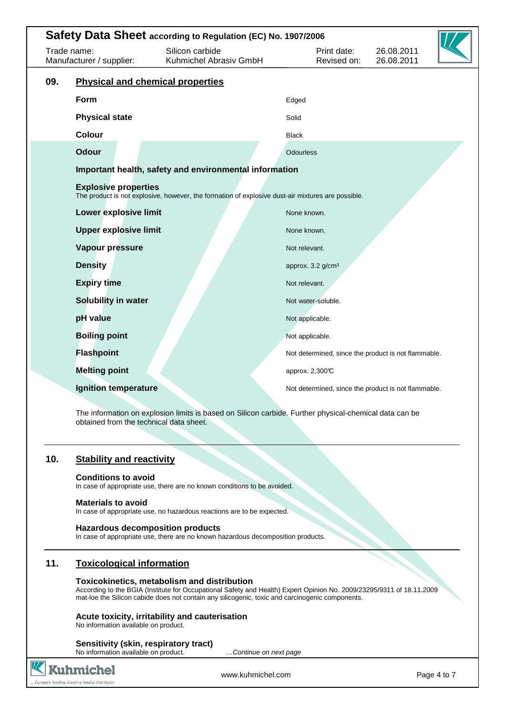| Safety Data Sheet according to Regulation (EC) No. 1907/2006 |                                         |                                                                                                   |                  |                                 |                                                     |  |
|--------------------------------------------------------------|-----------------------------------------|---------------------------------------------------------------------------------------------------|------------------|---------------------------------|-----------------------------------------------------|--|
| Trade name:<br>Manufacturer / supplier:                      |                                         | Silicon carbide<br>Kuhmichel Abrasiv GmbH                                                         |                  | Print date:<br>Revised on:      | 26.08.2011<br>26.08.2011                            |  |
| 09.                                                          | <b>Physical and chemical properties</b> |                                                                                                   |                  |                                 |                                                     |  |
|                                                              | Form                                    |                                                                                                   | Edged            |                                 |                                                     |  |
|                                                              | <b>Physical state</b>                   |                                                                                                   | Solid            |                                 |                                                     |  |
|                                                              | <b>Colour</b>                           |                                                                                                   | <b>Black</b>     |                                 |                                                     |  |
|                                                              | <b>Odour</b>                            |                                                                                                   | <b>Odourless</b> |                                 |                                                     |  |
|                                                              |                                         | Important health, safety and environmental information                                            |                  |                                 |                                                     |  |
|                                                              | <b>Explosive properties</b>             | The product is not explosive, however, the formation of explosive dust-air mixtures are possible. |                  |                                 |                                                     |  |
|                                                              | <b>Lower explosive limit</b>            |                                                                                                   | None known.      |                                 |                                                     |  |
|                                                              | <b>Upper explosive limit</b>            |                                                                                                   | None known.      |                                 |                                                     |  |
|                                                              | Vapour pressure                         |                                                                                                   | Not relevant.    |                                 |                                                     |  |
|                                                              | <b>Density</b>                          |                                                                                                   |                  | approx. $3.2$ g/cm <sup>3</sup> |                                                     |  |
|                                                              | <b>Expiry time</b>                      |                                                                                                   | Not relevant.    |                                 |                                                     |  |
|                                                              | Solubility in water                     |                                                                                                   |                  | Not water-soluble.              |                                                     |  |
|                                                              | pH value                                |                                                                                                   | Not applicable.  |                                 |                                                     |  |
|                                                              | <b>Boiling point</b>                    |                                                                                                   | Not applicable.  |                                 |                                                     |  |
|                                                              | <b>Flashpoint</b>                       |                                                                                                   |                  |                                 | Not determined, since the product is not flammable. |  |
|                                                              | <b>Melting point</b>                    |                                                                                                   | approx. 2,300℃   |                                 |                                                     |  |
|                                                              | <b>Ignition temperature</b>             |                                                                                                   |                  |                                 | Not determined, since the product is not flammable. |  |
|                                                              |                                         |                                                                                                   |                  |                                 |                                                     |  |

The information on explosion limits is based on Silicon carbide. Further physical-chemical data can be obtained from the technical data sheet.

# **10. Stability and reactivity**

### **Conditions to avoid**

In case of appropriate use, there are no known conditions to be avoided.

### **Materials to avoid**

In case of appropriate use, no hazardous reactions are to be expected.

### **Hazardous decomposition products**

In case of appropriate use, there are no known hazardous decomposition products.

## **11. Toxicological information**

### **Toxicokinetics, metabolism and distribution**

According to the BGIA (Institute for Occupational Safety and Health) Expert Opinion No. 2009/23295/9311 of 18.11.2009 mat-loe the Silicon cabide does not contain any silicogenic, toxic and carcinogenic components.

## **Acute toxicity, irritability and cauterisation**

No information available on product.

### **Sensitivity (skin, respiratory tract)**

No information available on product. **Example 20 million** ...Continue on next page



www.kuhmichel.com Page 4 to 7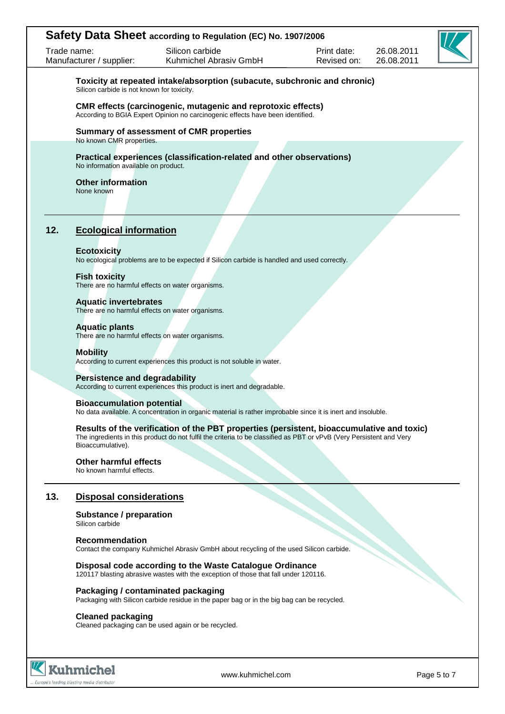|     | Trade name:<br>Manufacturer / supplier:                                                                                                                                                                                                | Silicon carbide<br>Kuhmichel Abrasiv GmbH                                                                                                             | Print date:<br>Revised on: | 26.08.2011<br>26.08.2011 |  |  |  |  |
|-----|----------------------------------------------------------------------------------------------------------------------------------------------------------------------------------------------------------------------------------------|-------------------------------------------------------------------------------------------------------------------------------------------------------|----------------------------|--------------------------|--|--|--|--|
|     | Silicon carbide is not known for toxicity.                                                                                                                                                                                             | Toxicity at repeated intake/absorption (subacute, subchronic and chronic)                                                                             |                            |                          |  |  |  |  |
|     |                                                                                                                                                                                                                                        | <b>CMR</b> effects (carcinogenic, mutagenic and reprotoxic effects)<br>According to BGIA Expert Opinion no carcinogenic effects have been identified. |                            |                          |  |  |  |  |
|     | <b>Summary of assessment of CMR properties</b><br>No known CMR properties.                                                                                                                                                             |                                                                                                                                                       |                            |                          |  |  |  |  |
|     | Practical experiences (classification-related and other observations)<br>No information available on product.                                                                                                                          |                                                                                                                                                       |                            |                          |  |  |  |  |
|     | <b>Other information</b><br>None known                                                                                                                                                                                                 |                                                                                                                                                       |                            |                          |  |  |  |  |
|     |                                                                                                                                                                                                                                        |                                                                                                                                                       |                            |                          |  |  |  |  |
| 12. | <b>Ecological information</b>                                                                                                                                                                                                          |                                                                                                                                                       |                            |                          |  |  |  |  |
|     | <b>Ecotoxicity</b>                                                                                                                                                                                                                     | No ecological problems are to be expected if Silicon carbide is handled and used correctly.                                                           |                            |                          |  |  |  |  |
|     | <b>Fish toxicity</b><br>There are no harmful effects on water organisms.                                                                                                                                                               |                                                                                                                                                       |                            |                          |  |  |  |  |
|     | <b>Aquatic invertebrates</b><br>There are no harmful effects on water organisms.                                                                                                                                                       |                                                                                                                                                       |                            |                          |  |  |  |  |
|     | <b>Aquatic plants</b><br>There are no harmful effects on water organisms.                                                                                                                                                              |                                                                                                                                                       |                            |                          |  |  |  |  |
|     | <b>Mobility</b><br>According to current experiences this product is not soluble in water.                                                                                                                                              |                                                                                                                                                       |                            |                          |  |  |  |  |
|     | <b>Persistence and degradability</b><br>According to current experiences this product is inert and degradable.                                                                                                                         |                                                                                                                                                       |                            |                          |  |  |  |  |
|     | <b>Bioaccumulation potential</b><br>No data available. A concentration in organic material is rather improbable since it is inert and insoluble.                                                                                       |                                                                                                                                                       |                            |                          |  |  |  |  |
|     | Results of the verification of the PBT properties (persistent, bioaccumulative and toxic)<br>The ingredients in this product do not fulfil the criteria to be classified as PBT or vPvB (Very Persistent and Very<br>Bioaccumulative). |                                                                                                                                                       |                            |                          |  |  |  |  |
|     | <b>Other harmful effects</b><br>No known harmful effects.                                                                                                                                                                              |                                                                                                                                                       |                            |                          |  |  |  |  |
| 13. | <b>Disposal considerations</b>                                                                                                                                                                                                         |                                                                                                                                                       |                            |                          |  |  |  |  |
|     | <b>Substance / preparation</b><br>Silicon carbide                                                                                                                                                                                      |                                                                                                                                                       |                            |                          |  |  |  |  |
|     | <b>Recommendation</b><br>Contact the company Kuhmichel Abrasiv GmbH about recycling of the used Silicon carbide.                                                                                                                       |                                                                                                                                                       |                            |                          |  |  |  |  |
|     | Disposal code according to the Waste Catalogue Ordinance<br>120117 blasting abrasive wastes with the exception of those that fall under 120116.                                                                                        |                                                                                                                                                       |                            |                          |  |  |  |  |
|     | Packaging / contaminated packaging<br>Packaging with Silicon carbide residue in the paper bag or in the big bag can be recycled.                                                                                                       |                                                                                                                                                       |                            |                          |  |  |  |  |
|     | <b>Cleaned packaging</b><br>Cleaned packaging can be used again or be recycled.                                                                                                                                                        |                                                                                                                                                       |                            |                          |  |  |  |  |
|     |                                                                                                                                                                                                                                        |                                                                                                                                                       |                            |                          |  |  |  |  |



www.kuhmichel.com Page 5 to 7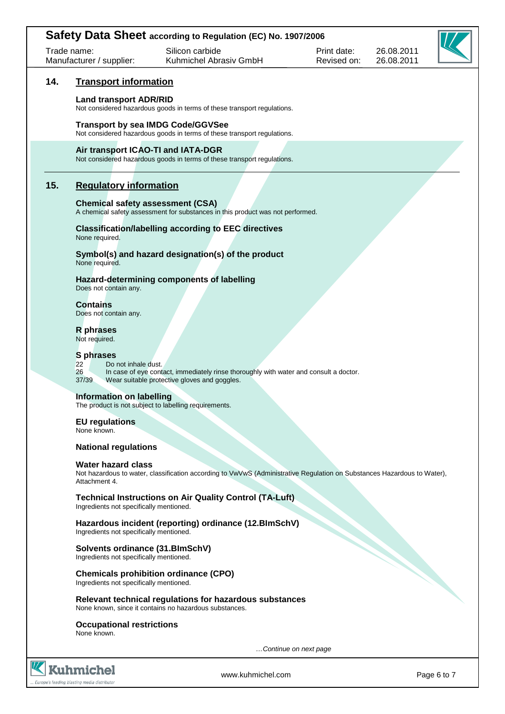| Safety Data Sheet according to Regulation (EC) No. 1907/2006               |                                                                                                                           |                                                                                                                                       |                            |                          |             |  |
|----------------------------------------------------------------------------|---------------------------------------------------------------------------------------------------------------------------|---------------------------------------------------------------------------------------------------------------------------------------|----------------------------|--------------------------|-------------|--|
|                                                                            | Trade name:<br>Manufacturer / supplier:                                                                                   | Silicon carbide<br>Kuhmichel Abrasiv GmbH                                                                                             | Print date:<br>Revised on: | 26.08.2011<br>26.08.2011 |             |  |
| 14.                                                                        | <b>Transport information</b>                                                                                              |                                                                                                                                       |                            |                          |             |  |
|                                                                            | <b>Land transport ADR/RID</b>                                                                                             | Not considered hazardous goods in terms of these transport regulations.                                                               |                            |                          |             |  |
|                                                                            |                                                                                                                           | <b>Transport by sea IMDG Code/GGVSee</b><br>Not considered hazardous goods in terms of these transport regulations.                   |                            |                          |             |  |
|                                                                            |                                                                                                                           | Air transport ICAO-TI and IATA-DGR<br>Not considered hazardous goods in terms of these transport regulations.                         |                            |                          |             |  |
| 15.                                                                        | <b>Regulatory information</b>                                                                                             |                                                                                                                                       |                            |                          |             |  |
|                                                                            | <b>Chemical safety assessment (CSA)</b><br>A chemical safety assessment for substances in this product was not performed. |                                                                                                                                       |                            |                          |             |  |
|                                                                            | None required.                                                                                                            | <b>Classification/labelling according to EEC directives</b>                                                                           |                            |                          |             |  |
|                                                                            | None required.                                                                                                            | Symbol(s) and hazard designation(s) of the product                                                                                    |                            |                          |             |  |
|                                                                            | Does not contain any.                                                                                                     | Hazard-determining components of labelling                                                                                            |                            |                          |             |  |
|                                                                            | <b>Contains</b><br>Does not contain any.                                                                                  |                                                                                                                                       |                            |                          |             |  |
|                                                                            | <b>R</b> phrases<br>Not required.                                                                                         |                                                                                                                                       |                            |                          |             |  |
|                                                                            | S phrases<br>22<br>Do not inhale dust.<br>26<br>37/39                                                                     | In case of eye contact, immediately rinse thoroughly with water and consult a doctor.<br>Wear suitable protective gloves and goggles. |                            |                          |             |  |
|                                                                            | Information on labelling<br>The product is not subject to labelling requirements.                                         |                                                                                                                                       |                            |                          |             |  |
|                                                                            | <b>EU</b> regulations<br>None known.                                                                                      |                                                                                                                                       |                            |                          |             |  |
|                                                                            | <b>National regulations</b>                                                                                               |                                                                                                                                       |                            |                          |             |  |
|                                                                            | <b>Water hazard class</b><br>Attachment 4.                                                                                | Not hazardous to water, classification according to VwVwS (Administrative Regulation on Substances Hazardous to Water),               |                            |                          |             |  |
|                                                                            | Ingredients not specifically mentioned.                                                                                   | <b>Technical Instructions on Air Quality Control (TA-Luft)</b>                                                                        |                            |                          |             |  |
|                                                                            | Ingredients not specifically mentioned.                                                                                   | Hazardous incident (reporting) ordinance (12.BlmSchV)                                                                                 |                            |                          |             |  |
| Solvents ordinance (31.BlmSchV)<br>Ingredients not specifically mentioned. |                                                                                                                           |                                                                                                                                       |                            |                          |             |  |
|                                                                            | Ingredients not specifically mentioned.                                                                                   | <b>Chemicals prohibition ordinance (CPO)</b>                                                                                          |                            |                          |             |  |
|                                                                            | Relevant technical regulations for hazardous substances<br>None known, since it contains no hazardous substances.         |                                                                                                                                       |                            |                          |             |  |
|                                                                            | <b>Occupational restrictions</b><br>None known.                                                                           |                                                                                                                                       |                            |                          |             |  |
|                                                                            |                                                                                                                           |                                                                                                                                       | Continue on next page      |                          |             |  |
|                                                                            | Kuhmichel<br>Europe's leading blasting media distributor                                                                  | www.kuhmichel.com                                                                                                                     |                            |                          | Page 6 to 7 |  |